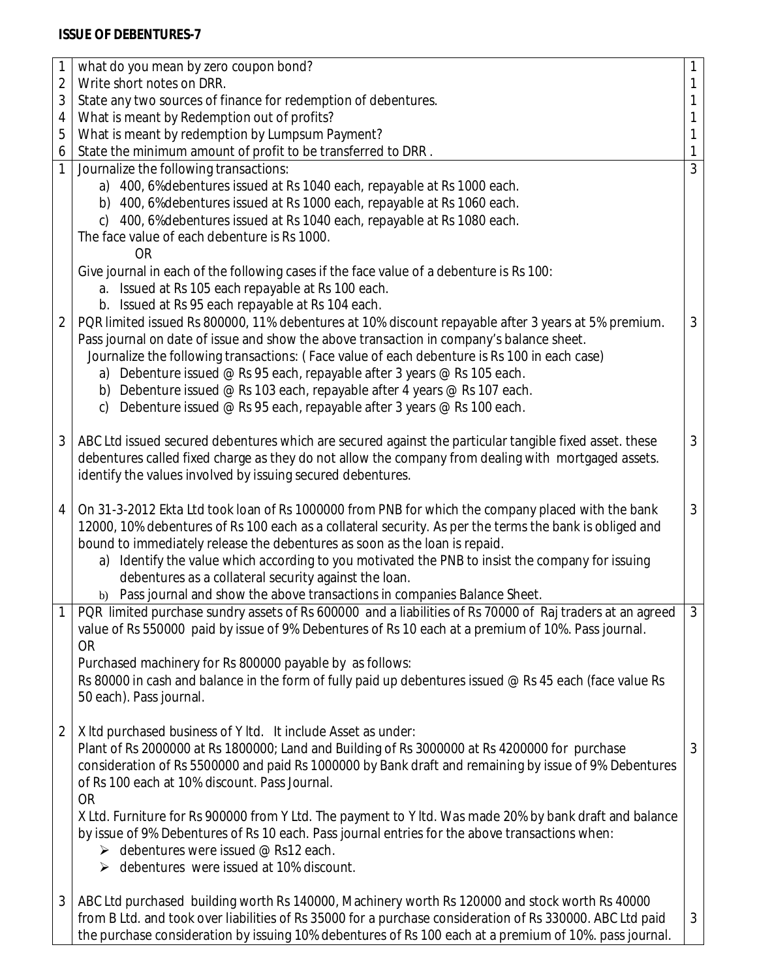## **ISSUE OF DEBENTURES-7**

| 1              | what do you mean by zero coupon bond?                                                                     | $\mathbf{1}$ |
|----------------|-----------------------------------------------------------------------------------------------------------|--------------|
| $\overline{2}$ | Write short notes on DRR.                                                                                 | 1            |
| 3              | State any two sources of finance for redemption of debentures.                                            | 1            |
| 4              | What is meant by Redemption out of profits?                                                               | 1            |
| 5              | What is meant by redemption by Lumpsum Payment?                                                           | 1            |
| 6              | State the minimum amount of profit to be transferred to DRR.                                              | 1            |
| 1              | Journalize the following transactions:                                                                    | 3            |
|                | a) 400, 6% debentures issued at Rs 1040 each, repayable at Rs 1000 each.                                  |              |
|                | b) 400, 6% debentures issued at Rs 1000 each, repayable at Rs 1060 each.                                  |              |
|                | 400, 6% debentures issued at Rs 1040 each, repayable at Rs 1080 each.<br>C)                               |              |
|                | The face value of each debenture is Rs 1000.                                                              |              |
|                | <b>OR</b>                                                                                                 |              |
|                | Give journal in each of the following cases if the face value of a debenture is Rs 100:                   |              |
|                | a. Issued at Rs 105 each repayable at Rs 100 each.                                                        |              |
|                | b. Issued at Rs 95 each repayable at Rs 104 each.                                                         |              |
| 2              | PQR limited issued Rs 800000, 11% debentures at 10% discount repayable after 3 years at 5% premium.       | $\mathbf{3}$ |
|                | Pass journal on date of issue and show the above transaction in company's balance sheet.                  |              |
|                | Journalize the following transactions: (Face value of each debenture is Rs 100 in each case)              |              |
|                | a) Debenture issued @ Rs 95 each, repayable after 3 years @ Rs 105 each.                                  |              |
|                | b) Debenture issued @ Rs 103 each, repayable after 4 years @ Rs 107 each.                                 |              |
|                | Debenture issued @ Rs 95 each, repayable after 3 years @ Rs 100 each.<br>c)                               |              |
|                |                                                                                                           |              |
| 3              | ABC Ltd issued secured debentures which are secured against the particular tangible fixed asset. these    | $\mathbf{3}$ |
|                | debentures called fixed charge as they do not allow the company from dealing with mortgaged assets.       |              |
|                | identify the values involved by issuing secured debentures.                                               |              |
| 4              | On 31-3-2012 Ekta Ltd took loan of Rs 1000000 from PNB for which the company placed with the bank         | 3            |
|                | 12000, 10% debentures of Rs 100 each as a collateral security. As per the terms the bank is obliged and   |              |
|                | bound to immediately release the debentures as soon as the loan is repaid.                                |              |
|                | Identify the value which according to you motivated the PNB to insist the company for issuing<br>a)       |              |
|                | debentures as a collateral security against the loan.                                                     |              |
|                | b) Pass journal and show the above transactions in companies Balance Sheet.                               |              |
|                | PQR limited purchase sundry assets of Rs 600000 and a liabilities of Rs 70000 of Raj traders at an agreed | 3            |
|                | value of Rs 550000 paid by issue of 9% Debentures of Rs 10 each at a premium of 10%. Pass journal.        |              |
|                | <b>OR</b>                                                                                                 |              |
|                | Purchased machinery for Rs 800000 payable by as follows:                                                  |              |
|                | Rs 80000 in cash and balance in the form of fully paid up debentures issued $@$ Rs 45 each (face value Rs |              |
|                | 50 each). Pass journal.                                                                                   |              |
|                |                                                                                                           |              |
| $\overline{2}$ | X Itd purchased business of Y Itd. It include Asset as under:                                             |              |
|                | Plant of Rs 2000000 at Rs 1800000; Land and Building of Rs 3000000 at Rs 4200000 for purchase             | 3            |
|                | consideration of Rs 5500000 and paid Rs 1000000 by Bank draft and remaining by issue of 9% Debentures     |              |
|                | of Rs 100 each at 10% discount. Pass Journal.                                                             |              |
|                | <b>OR</b>                                                                                                 |              |
|                | X Ltd. Furniture for Rs 900000 from Y Ltd. The payment to Y ltd. Was made 20% by bank draft and balance   |              |
|                | by issue of 9% Debentures of Rs 10 each. Pass journal entries for the above transactions when:            |              |
|                | $\triangleright$ debentures were issued @ Rs12 each.                                                      |              |
|                | $\triangleright$ debentures were issued at 10% discount.                                                  |              |
|                |                                                                                                           |              |
| 3              | ABC Ltd purchased building worth Rs 140000, Machinery worth Rs 120000 and stock worth Rs 40000            |              |
|                | from B Ltd. and took over liabilities of Rs 35000 for a purchase consideration of Rs 330000. ABC Ltd paid | 3            |
|                | the purchase consideration by issuing 10% debentures of Rs 100 each at a premium of 10%. pass journal.    |              |